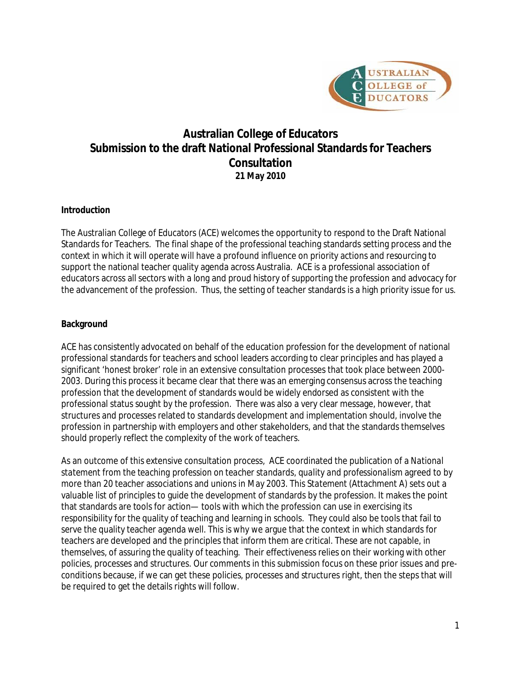

# **Australian College of Educators Submission to the draft National Professional Standards for Teachers Consultation 21 May 2010**

# **Introduction**

The Australian College of Educators (ACE) welcomes the opportunity to respond to the Draft National Standards for Teachers. The final shape of the professional teaching standards setting process and the context in which it will operate will have a profound influence on priority actions and resourcing to support the national teacher quality agenda across Australia. ACE is a professional association of educators across all sectors with a long and proud history of supporting the profession and advocacy for the advancement of the profession. Thus, the setting of teacher standards is a high priority issue for us.

# **Background**

ACE has consistently advocated on behalf of the education profession for the development of national professional standards for teachers and school leaders according to clear principles and has played a significant 'honest broker' role in an extensive consultation processes that took place between 2000- 2003. During this process it became clear that there was an emerging consensus across the teaching profession that the development of standards would be widely endorsed as consistent with the professional status sought by the profession. There was also a very clear message, however, that structures and processes related to standards development and implementation should, involve the profession in partnership with employers and other stakeholders, and that the standards themselves should properly reflect the complexity of the work of teachers.

As an outcome of this extensive consultation process, ACE coordinated the publication of a *National*  statement from the teaching profession on teacher standards, quality and professionalism agreed to by more than 20 teacher associations and unions in May 2003. This *Statement* (Attachment A) sets out a valuable list of principles to guide the development of standards by the profession. It makes the point that standards are tools for action— tools with which the profession can use in exercising its responsibility for the quality of teaching and learning in schools. They could also be tools that fail to serve the quality teacher agenda well. This is why we argue that the context in which standards for teachers are developed and the principles that inform them are critical. These are not capable, in themselves, of assuring the quality of teaching. Their effectiveness relies on their working with other policies, processes and structures. Our comments in this submission focus on these prior issues and preconditions because, if we can get these policies, processes and structures right, then the steps that will be required to get the details rights will follow.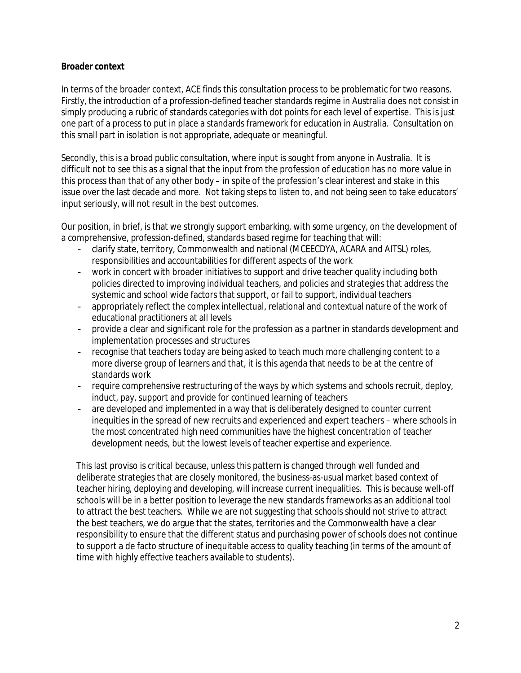#### **Broader context**

In terms of the broader context, ACE finds this consultation process to be problematic for two reasons. Firstly, the introduction of a profession-defined teacher standards regime in Australia does not consist in simply producing a rubric of standards categories with dot points for each level of expertise. This is just one part of a process to put in place a standards framework for education in Australia. Consultation on this small part in isolation is not appropriate, adequate or meaningful.

Secondly, this is a broad public consultation, where input is sought from anyone in Australia. It is difficult not to see this as a signal that the input from the profession of education has no more value in this process than that of any other body – in spite of the profession's clear interest and stake in this issue over the last decade and more. Not taking steps to listen to, and not being seen to take educators' input seriously, will not result in the best outcomes.

Our position, in brief, is that we strongly support embarking, with some urgency, on the development of a comprehensive, profession-defined, standards based regime for teaching that will:

- clarify state, territory, Commonwealth and national (MCEECDYA, ACARA and AITSL) roles, responsibilities and accountabilities for different aspects of the work
- work in concert with broader initiatives to support and drive teacher quality including both policies directed to improving individual teachers, and policies and strategies that address the systemic and school wide factors that support, or fail to support, individual teachers
- appropriately reflect the complex intellectual, relational and contextual nature of the work of educational practitioners at all levels
- provide a clear and significant role for the profession as a partner in standards development and implementation processes and structures
- recognise that teachers today are being asked to teach much more challenging content to a more diverse group of learners and that, it is this agenda that needs to be at the centre of standards work
- require comprehensive restructuring of the ways by which systems and schools recruit, deploy, induct, pay, support and provide for continued learning of teachers
- are developed and implemented in a way that is deliberately designed to counter current inequities in the spread of new recruits and experienced and expert teachers – where schools in the most concentrated high need communities have the highest concentration of teacher development needs, but the lowest levels of teacher expertise and experience.

This last proviso is critical because, unless this pattern is changed through well funded and deliberate strategies that are closely monitored, the business-as-usual market based context of teacher hiring, deploying and developing, will increase current inequalities. This is because well-off schools will be in a better position to leverage the new standards frameworks as an additional tool to attract the best teachers. While we are not suggesting that schools should not strive to attract the best teachers, we do argue that the states, territories and the Commonwealth have a clear responsibility to ensure that the different status and purchasing power of schools does not continue to support a de facto structure of inequitable access to quality teaching (in terms of the amount of time with highly effective teachers available to students).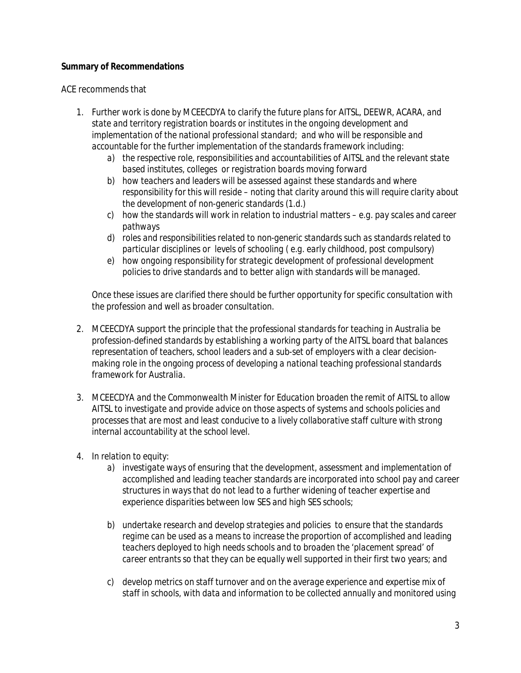#### **Summary of Recommendations**

#### ACE recommends that

- *1. Further work is done by MCEECDYA to clarify the future plans for AITSL, DEEWR, ACARA, and state and territory registration boards or institutes in the ongoing development and implementation of the national professional standard; and who will be responsible and accountable for the further implementation of the standards framework including:*
	- *a) the respective role, responsibilities and accountabilities of AITSL and the relevant state based institutes, colleges or registration boards moving forward*
	- *b) how teachers and leaders will be assessed against these standards and where responsibility for this will reside – noting that clarity around this will require clarity about the development of non-generic standards (1.d.)*
	- *c) how the standards will work in relation to industrial matters e.g. pay scales and career pathways*
	- *d) roles and responsibilities related to non-generic standards such as standards related to particular disciplines or levels of schooling ( e.g. early childhood, post compulsory)*
	- *e) how ongoing responsibility for strategic development of professional development policies to drive standards and to better align with standards will be managed.*

*Once these issues are clarified there should be further opportunity for specific consultation with the profession and well as broader consultation.*

- *2. MCEECDYA support the principle that the professional standards for teaching in Australia be profession-defined standards by establishing a working party of the AITSL board that balances representation of teachers, school leaders and a sub-set of employers with a clear decisionmaking role in the ongoing process of developing a national teaching professional standards framework for Australia.*
- *3. MCEECDYA and the Commonwealth Minister for Education broaden the remit of AITSL to allow AITSL to investigate and provide advice on those aspects of systems and schools policies and processes that are most and least conducive to a lively collaborative staff culture with strong internal accountability at the school level.*
- *4. In relation to equity:*
	- *a) investigate ways of ensuring that the development, assessment and implementation of accomplished and leading teacher standards are incorporated into school pay and career structures in ways that do not lead to a further widening of teacher expertise and experience disparities between low SES and high SES schools;*
	- *b) undertake research and develop strategies and policies to ensure that the standards regime can be used as a means to increase the proportion of accomplished and leading teachers deployed to high needs schools and to broaden the 'placement spread' of career entrants so that they can be equally well supported in their first two years; and*
	- *c) develop metrics on staff turnover and on the average experience and expertise mix of staff in schools, with data and information to be collected annually and monitored using*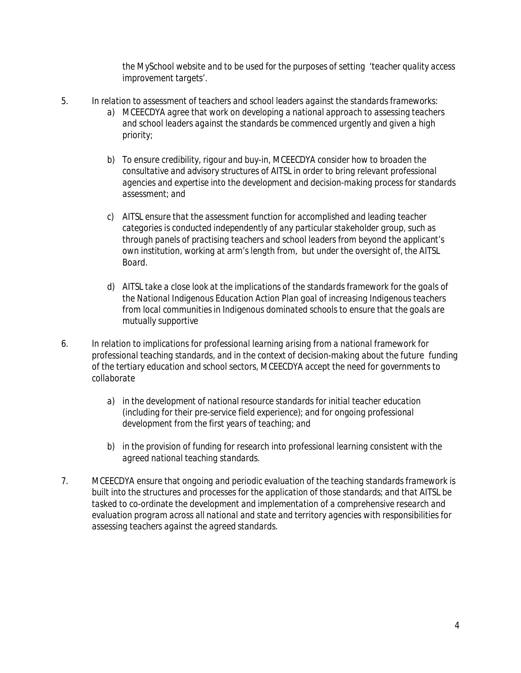*the MySchool website and to be used for the purposes of setting 'teacher quality access improvement targets'.*

- *5. In relation to assessment of teachers and school leaders against the standards frameworks: a) MCEECDYA agree that work on developing a national approach to assessing teachers and school leaders against the standards be commenced urgently and given a high priority;* 
	- *b) To ensure credibility, rigour and buy-in, MCEECDYA consider how to broaden the consultative and advisory structures of AITSL in order to bring relevant professional agencies and expertise into the development and decision-making process for standards assessment; and*
	- *c) AITSL ensure that the assessment function for accomplished and leading teacher categories is conducted independently of any particular stakeholder group, such as through panels of practising teachers and school leaders from beyond the applicant's own institution, working at arm's length from, but under the oversight of, the AITSL Board.*
	- d) AITSL take a close look at the implications of the standards framework for the goals of *the National Indigenous Education Action Plan goal of increasing Indigenous teachers from local communities in Indigenous dominated schools to ensure that the goals are mutually supportive*
- *6. In relation to implications for professional learning arising from a national framework for professional teaching standards, and in the context of decision-making about the future funding of the tertiary education and school sectors, MCEECDYA accept the need for governments to collaborate* 
	- *a) in the development of national resource standards for initial teacher education (including for their pre-service field experience); and for ongoing professional development from the first years of teaching; and*
	- *b) in the provision of funding for research into professional learning consistent with the agreed national teaching standards.*
- *7. MCEECDYA ensure that ongoing and periodic evaluation of the teaching standards framework is built into the structures and processes for the application of those standards; and that AITSL be tasked to co-ordinate the development and implementation of a comprehensive research and evaluation program across all national and state and territory agencies with responsibilities for assessing teachers against the agreed standards.*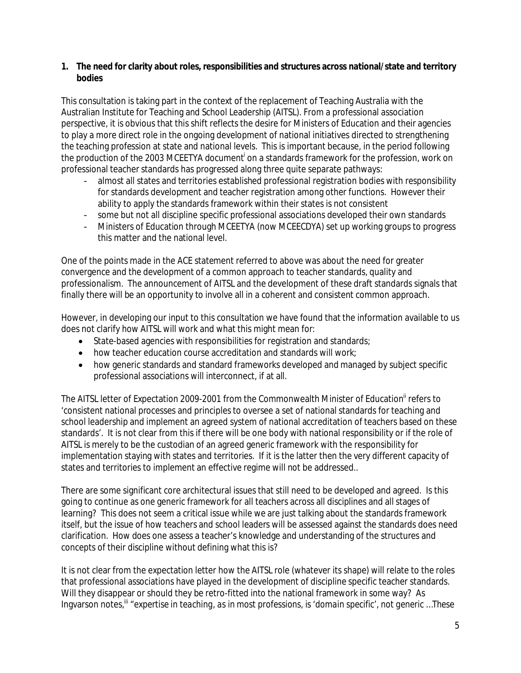**1. The need for clarity about roles, responsibilities and structures across national/state and territory bodies**

This consultation is taking part in the context of the replacement of Teaching Australia with the Australian Institute for Teaching and School Leadership (AITSL). From a professional association perspective, it is obvious that this shift reflects the desire for Ministers of Education and their agencies to play a more direct role in the ongoing development of national initiatives directed to strengthening the teaching profession at state and national levels. This is important because, in the period following the production of the 2003 MCEETYA document<sup>i</sup> on a standards framework for the profession, work on professional teacher standards has progressed along three quite separate pathways:

- almost all states and territories established professional registration bodies with responsibility for standards development and teacher registration among other functions. However their ability to apply the standards framework within their states is not consistent
- some but not all discipline specific professional associations developed their own standards
- Ministers of Education through MCEETYA (now MCEECDYA) set up working groups to progress this matter and the national level.

One of the points made in the ACE statement referred to above was about the need for greater convergence and the development of a common approach to teacher standards, quality and professionalism. The announcement of AITSL and the development of these draft standards signals that finally there will be an opportunity to involve all in a coherent and consistent common approach.

However, in developing our input to this consultation we have found that the information available to us does not clarify how AITSL will work and what this might mean for:

- State-based agencies with responsibilities for registration and standards;
- how teacher education course accreditation and standards will work;
- how generic standards and standard frameworks developed and managed by subject specific professional associations will interconnect, if at all.

The AITSL letter of Expectation 2009-2001 from the Commonwealth Minister of Education<sup>ii</sup> refers to 'consistent national processes and principles to oversee a set of national standards for teaching and school leadership and implement an agreed system of national accreditation of teachers based on these standards'. It is not clear from this if there will be one body with national responsibility or if the role of AITSL is merely to be the custodian of an agreed generic framework with the responsibility for implementation staying with states and territories. If it is the latter then the very different capacity of states and territories to implement an effective regime will not be addressed..

There are some significant core architectural issues that still need to be developed and agreed. Is this going to continue as one generic framework for all teachers across all disciplines and all stages of learning? This does not seem a critical issue while we are just talking about the standards framework itself, but the issue of how teachers and school leaders will be assessed against the standards does need clarification. How does one assess a teacher's knowledge and understanding of the structures and concepts of their discipline without defining what this is?

It is not clear from the expectation letter how the AITSL role (whatever its shape) will relate to the roles that professional associations have played in the development of discipline specific teacher standards. Will they disappear or should they be retro-fitted into the national framework in some way? As Ingvarson notes,<sup>ii</sup> "expertise in teaching, as in most professions, is 'domain specific', not generic ...These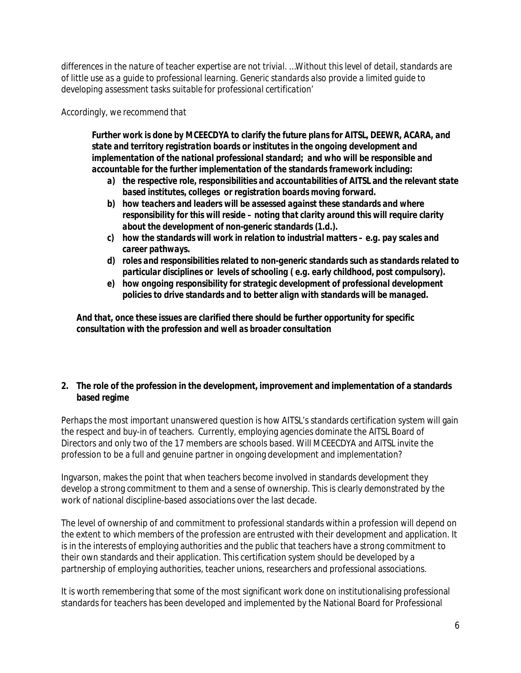*differences in the nature of teacher expertise are not trivial. …Without this level of detail, standards are of little use as a guide to professional learning. Generic standards also provide a limited guide to developing assessment tasks suitable for professional certification'*

*Accordingly, we recommend that*

Further work is done by MCEECDYA to clarify the future plans for AITSL, DEEWR, ACARA, and *state and territory registration boards or institutes in the ongoing development and implementation of the national professional standard; and who will be responsible and accountable for the further implementation of the standards framework including:*

- *a) the respective role, responsibilities and accountabilities of AITSL and the relevant state based institutes, colleges or registration boards moving forward.*
- *b) how teachers and leaders will be assessed against these standards and where responsibility for this will reside – noting that clarity around this will require clarity about the development of non-generic standards (1.d.).*
- *c) how the standards will work in relation to industrial matters e.g. pay scales and career pathways.*
- *d) roles and responsibilities related to non-generic standards such as standards related to particular disciplines or levels of schooling ( e.g. early childhood, post compulsory).*
- *e) how ongoing responsibility for strategic development of professional development policies to drive standards and to better align with standards will be managed.*

*And that, once these issues are clarified there should be further opportunity for specific consultation with the profession and well as broader consultation*

**2. The role of the profession in the development, improvement and implementation of a standards based regime**

Perhaps the most important unanswered question is how AITSL's standards certification system will gain the respect and buy-in of teachers. Currently, employing agencies dominate the AITSL Board of Directors and only two of the 17 members are schools based. Will MCEECDYA and AITSL invite the profession to be a full and genuine partner in ongoing development and implementation?

Ingvarson, makes the point that when teachers become involved in standards development they develop a strong commitment to them and a sense of ownership. This is clearly demonstrated by the work of national discipline-based associations over the last decade.

The level of ownership of and commitment to professional standards within a profession will depend on the extent to which members of the profession are entrusted with their development and application. It is in the interests of employing authorities and the public that teachers have a strong commitment to their own standards and their application. This certification system should be developed by a partnership of employing authorities, teacher unions, researchers and professional associations.

It is worth remembering that some of the most significant work done on institutionalising professional standards for teachers has been developed and implemented by the National Board for Professional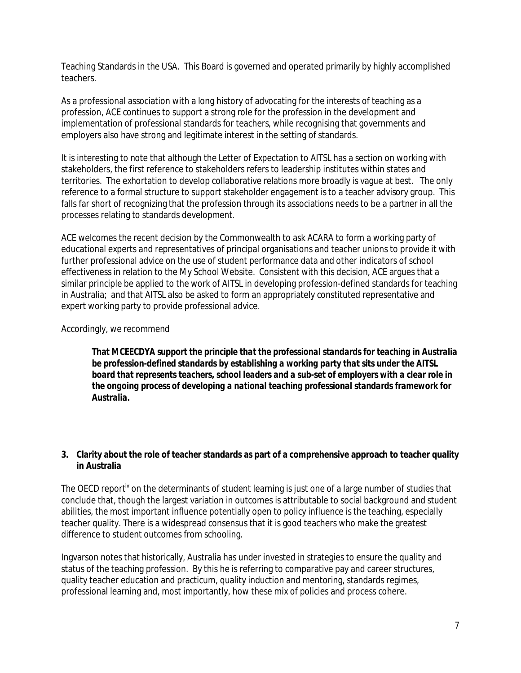Teaching Standards in the USA. This Board is governed and operated primarily by highly accomplished teachers.

As a professional association with a long history of advocating for the interests of teaching as a profession, ACE continues to support a strong role for the profession in the development and implementation of professional standards for teachers, while recognising that governments and employers also have strong and legitimate interest in the setting of standards.

It is interesting to note that although the Letter of Expectation to AITSL has a section on working with stakeholders, the first reference to stakeholders refers to leadership institutes within states and territories. The exhortation to develop collaborative relations more broadly is vague at best. The only reference to a formal structure to support stakeholder engagement is to a teacher advisory group. This falls far short of recognizing that the profession through its associations needs to be a partner in all the processes relating to standards development.

ACE welcomes the recent decision by the Commonwealth to ask ACARA to form a working party of educational experts and representatives of principal organisations and teacher unions to provide it with further professional advice on the use of student performance data and other indicators of school effectiveness in relation to the My School Website. Consistent with this decision, ACE argues that a similar principle be applied to the work of AITSL in developing profession-defined standards for teaching in Australia; and that AITSL also be asked to form an appropriately constituted representative and expert working party to provide professional advice.

#### Accordingly, we recommend

**That** *MCEECDYA support the principle that the professional standards for teaching in Australia be profession-defined standards by establishing a working party that sits under the AITSL board that represents teachers, school leaders and a sub-set of employers with a clear role in the ongoing process of developing a national teaching professional standards framework for Australia.*

**3. Clarity about the role of teacher standards as part of a comprehensive approach to teacher quality in Australia**

The OECD report<sup>iv</sup> on the determinants of student learning is just one of a large number of studies that conclude that, though the largest variation in outcomes is attributable to social background and student abilities, the most important influence potentially open to policy influence is the teaching, especially teacher quality. There is a widespread consensus that it is good teachers who make the greatest difference to student outcomes from schooling.

Ingvarson notes that historically, Australia has under invested in strategies to ensure the quality and status of the teaching profession. By this he is referring to comparative pay and career structures, quality teacher education and practicum, quality induction and mentoring, standards regimes, professional learning and, most importantly, how these mix of policies and process cohere.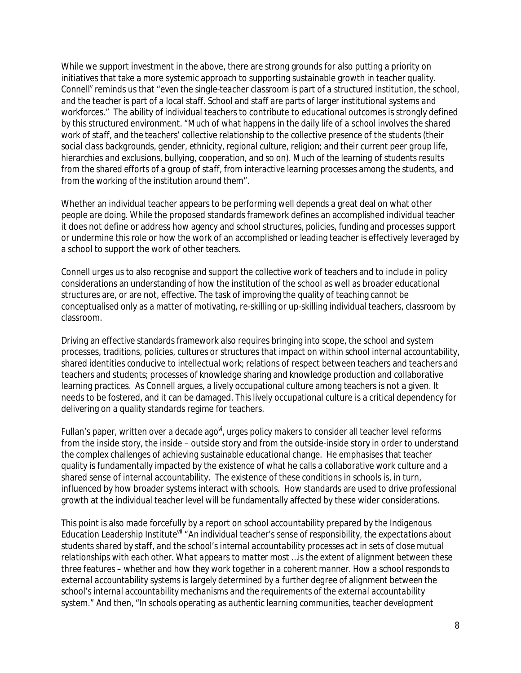While we support investment in the above, there are strong grounds for also putting a priority on initiatives that take a more systemic approach to supporting sustainable growth in teacher quality. Connell<sup>y</sup> reminds us that "even the single-teacher classroom is part of a structured institution, the school, *and the teacher is part of a local staff. School and staff are parts of larger institutional systems and workforces."* The ability of individual teachers to contribute to educational outcomes is strongly defined by this structured environment. "*Much of what happens in the daily life of a school involves the shared work of staff, and the teachers' collective relationship to the collective presence of the students (their social class backgrounds, gender, ethnicity, regional culture, religion; and their current peer group life, hierarchies and exclusions, bullying, cooperation, and so on). Much of the learning of students results from the shared efforts of a group of staff, from interactive learning processes among the students, and from the working of the institution around them".*

Whether an individual teacher appears to be performing well depends a great deal on what other people are doing. While the proposed standards framework defines an accomplished individual teacher it does not define or address how agency and school structures, policies, funding and processes support or undermine this role or how the work of an accomplished or leading teacher is effectively leveraged by a school to support the work of other teachers.

Connell urges us to also recognise and support the collective work of teachers and to include in policy considerations an understanding of how the institution of the school as well as broader educational structures are, or are not, effective. The task of improving the quality of teaching cannot be conceptualised only as a matter of motivating, re-skilling or up-skilling individual teachers, classroom by classroom.

Driving an effective standards framework also requires bringing into scope, the school and system processes, traditions, policies, cultures or structures that impact on within school internal accountability, shared identities conducive to intellectual work; relations of respect between teachers and teachers and teachers and students; processes of knowledge sharing and knowledge production and collaborative learning practices. As Connell argues, a lively occupational culture among teachers is not a given. It needs to be fostered, and it can be damaged. This lively occupational culture is a critical dependency for delivering on a quality standards regime for teachers.

Fullan's paper, written over a decade ago<sup>vi</sup>, urges policy makers to consider all teacher level reforms from the inside story, the inside – outside story and from the outside-inside story in order to understand the complex challenges of achieving sustainable educational change. He emphasises that teacher quality is fundamentally impacted by the existence of what he calls a collaborative work culture and a shared sense of internal accountability. The existence of these conditions in schools is, in turn, influenced by how broader systems interact with schools. How standards are used to drive professional growth at the individual teacher level will be fundamentally affected by these wider considerations.

This point is also made forcefully by a report on school accountability prepared by the Indigenous Education Leadership Institute<sup>vii</sup> "An individual teacher's sense of responsibility, the expectations about *students shared by staff, and the school's internal accountability processes act in sets of close mutual relationships with each other. What appears to matter most …is the extent of alignment between these three features – whether and how they work together in a coherent manner. How a school responds to external accountability systems is largely determined by a further degree of alignment between the school's internal accountability mechanisms and the requirements of the external accountability system."* And then, "*In schools operating as authentic learning communities, teacher development*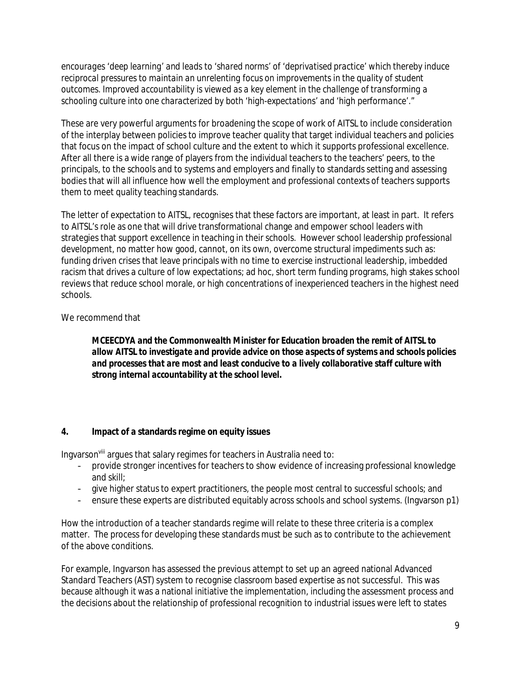*encourages 'deep learning' and leads to 'shared norms' of 'deprivatised practice' which thereby induce*  reciprocal pressures to maintain an unrelenting focus on improvements in the quality of student *outcomes. Improved accountability is viewed as a key element in the challenge of transforming a schooling culture into one characterized by both 'high-expectations' and 'high performance'."*

These are very powerful arguments for broadening the scope of work of AITSL to include consideration of the interplay between policies to improve teacher quality that target individual teachers and policies that focus on the impact of school culture and the extent to which it supports professional excellence. After all there is a wide range of players from the individual teachers to the teachers' peers, to the principals, to the schools and to systems and employers and finally to standards setting and assessing bodies that will all influence how well the employment and professional contexts of teachers supports them to meet quality teaching standards.

The letter of expectation to AITSL, recognises that these factors are important, at least in part. It refers to AITSL's role as one that will drive transformational change and empower school leaders with strategies that support excellence in teaching in their schools. However school leadership professional development, no matter how good, cannot, on its own, overcome structural impediments such as: funding driven crises that leave principals with no time to exercise instructional leadership, imbedded racism that drives a culture of low expectations; ad hoc, short term funding programs, high stakes school reviews that reduce school morale, or high concentrations of inexperienced teachers in the highest need schools.

# We recommend that

*MCEECDYA and the Commonwealth Minister for Education broaden the remit of AITSL to allow AITSL to investigate and provide advice on those aspects of systems and schools policies and processes that are most and least conducive to a lively collaborative staff culture with strong internal accountability at the school level.*

#### **4. Impact of a standards regime on equity issues**

Ingvarson<sup>viii</sup> argues that salary regimes for teachers in Australia need to:

- provide stronger incentives for teachers to show evidence of increasing professional knowledge and skill;
- give higher status to expert practitioners, the people most central to successful schools; and
- ensure these experts are distributed equitably across schools and school systems. (Ingvarson p1)

How the introduction of a teacher standards regime will relate to these three criteria is a complex matter. The process for developing these standards must be such as to contribute to the achievement of the above conditions.

For example, Ingvarson has assessed the previous attempt to set up an agreed national Advanced Standard Teachers (AST) system to recognise classroom based expertise as not successful. This was because although it was a national initiative the implementation, including the assessment process and the decisions about the relationship of professional recognition to industrial issues were left to states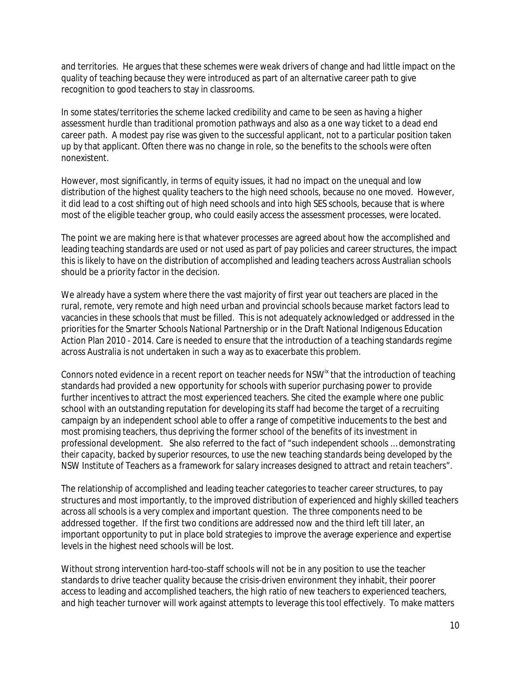and territories. He argues that these schemes were weak drivers of change and had little impact on the quality of teaching because they were introduced as part of an alternative career path to give recognition to good teachers to stay in classrooms.

In some states/territories the scheme lacked credibility and came to be seen as having a higher assessment hurdle than traditional promotion pathways and also as a one way ticket to a dead end career path. A modest pay rise was given to the successful applicant, not to a particular position taken up by that applicant. Often there was no change in role, so the benefits to the schools were often nonexistent.

However, most significantly, in terms of equity issues, it had no impact on the unequal and low distribution of the highest quality teachers to the high need schools, because no one moved. However, it did lead to a cost shifting out of high need schools and into high SES schools, because that is where most of the eligible teacher group, who could easily access the assessment processes, were located.

The point we are making here is that whatever processes are agreed about how the accomplished and leading teaching standards are used or not used as part of pay policies and career structures, the impact this is likely to have on the distribution of accomplished and leading teachers across Australian schools should be a priority factor in the decision.

We already have a system where there the vast majority of first year out teachers are placed in the rural, remote, very remote and high need urban and provincial schools because market factors lead to vacancies in these schools that must be filled. This is not adequately acknowledged or addressed in the priorities for the Smarter Schools National Partnership or in the Draft National Indigenous Education Action Plan 2010 - 2014. Care is needed to ensure that the introduction of a teaching standards regime across Australia is not undertaken in such a way as to exacerbate this problem.

Connors noted evidence in a recent report on teacher needs for NSW<sup>ix</sup> that the introduction of teaching standards had provided a new opportunity for schools with superior purchasing power to provide further incentives to attract the most experienced teachers. She cited the example where one public school with an outstanding reputation for developing its staff had become the target of a recruiting campaign by an independent school able to offer a range of competitive inducements to the best and most promising teachers, thus depriving the former school of the benefits of its investment in professional development. She also referred to the fact of *"such independent schools … demonstrating their capacity, backed by superior resources, to use the new teaching standards being developed by the NSW Institute of Teachers as a framework for salary increases designed to attract and retain teachers".*

The relationship of accomplished and leading teacher categories to teacher career structures, to pay structures and most importantly, to the improved distribution of experienced and highly skilled teachers across all schools is a very complex and important question. The three components need to be addressed together. If the first two conditions are addressed now and the third left till later, an important opportunity to put in place bold strategies to improve the average experience and expertise levels in the highest need schools will be lost.

Without strong intervention hard-too-staff schools will not be in any position to use the teacher standards to drive teacher quality because the crisis-driven environment they inhabit, their poorer access to leading and accomplished teachers, the high ratio of new teachers to experienced teachers, and high teacher turnover will work against attempts to leverage this tool effectively. To make matters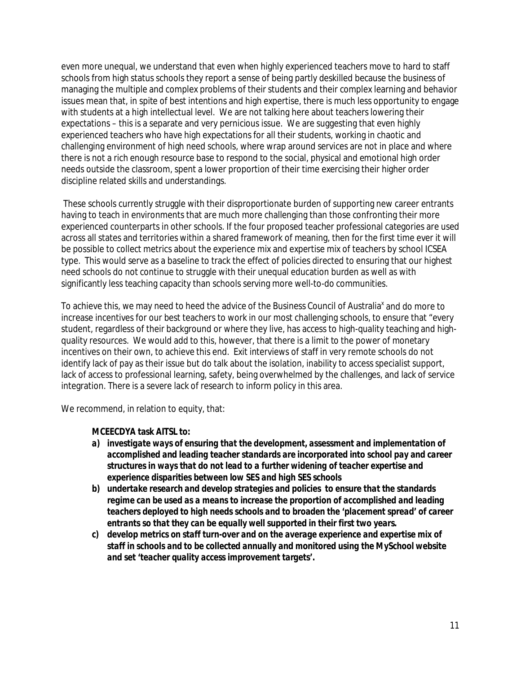even more unequal, we understand that even when highly experienced teachers move to hard to staff schools from high status schools they report a sense of being partly deskilled because the business of managing the multiple and complex problems of their students and their complex learning and behavior issues mean that, in spite of best intentions and high expertise, there is much less opportunity to engage with students at a high intellectual level. We are not talking here about teachers lowering their expectations – this is a separate and very pernicious issue. We are suggesting that even highly experienced teachers who have high expectations for all their students, working in chaotic and challenging environment of high need schools, where wrap around services are not in place and where there is not a rich enough resource base to respond to the social, physical and emotional high order needs outside the classroom, spent a lower proportion of their time exercising their higher order discipline related skills and understandings.

These schools currently struggle with their disproportionate burden of supporting new career entrants having to teach in environments that are much more challenging than those confronting their more experienced counterparts in other schools. If the four proposed teacher professional categories are used across all states and territories within a shared framework of meaning, then for the first time ever it will be possible to collect metrics about the experience mix and expertise mix of teachers by school ICSEA type. This would serve as a baseline to track the effect of policies directed to ensuring that our highest need schools do not continue to struggle with their unequal education burden as well as with significantly less teaching capacity than schools serving more well-to-do communities.

To achieve this, we may need to heed the advice of the Business Council of Australia<sup>x</sup> and do more to increase incentives for our best teachers to work in our most challenging schools, to ensure that "every student, regardless of their background or where they live, has access to high-quality teaching and highquality resources. We would add to this, however, that there is a limit to the power of monetary incentives on their own, to achieve this end. Exit interviews of staff in very remote schools do not identify lack of pay as their issue but do talk about the isolation, inability to access specialist support, lack of access to professional learning, safety, being overwhelmed by the challenges, and lack of service integration. There is a severe lack of research to inform policy in this area.

We recommend, in relation to equity, that:

**MCEECDYA task AITSL to:**

- *a) investigate ways of ensuring that the development, assessment and implementation of accomplished and leading teacher standards are incorporated into school pay and career structures in ways that do not lead to a further widening of teacher expertise and experience disparities between low SES and high SES schools*
- *b) undertake research and develop strategies and policies to ensure that the standards*  regime can be used as a means to increase the proportion of accomplished and leading *teachers deployed to high needs schools and to broaden the 'placement spread' of career entrants so that they can be equally well supported in their first two years.*
- *c) develop metrics on staff turn-over and on the average experience and expertise mix of staff in schools and to be collected annually and monitored using the MySchool website and set 'teacher quality access improvement targets'.*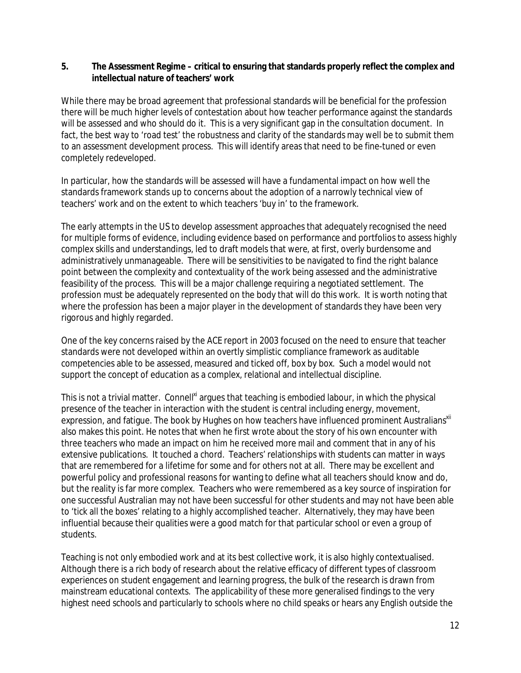**5. The Assessment Regime – critical to ensuring that standards properly reflect the complex and intellectual nature of teachers' work**

While there may be broad agreement that professional standards will be beneficial for the profession there will be much higher levels of contestation about how teacher performance against the standards will be assessed and who should do it. This is a very significant gap in the consultation document. In fact, the best way to 'road test' the robustness and clarity of the standards may well be to submit them to an assessment development process. This will identify areas that need to be fine-tuned or even completely redeveloped.

In particular, how the standards will be assessed will have a fundamental impact on how well the standards framework stands up to concerns about the adoption of a narrowly technical view of teachers' work and on the extent to which teachers 'buy in' to the framework.

The early attempts in the US to develop assessment approaches that adequately recognised the need for multiple forms of evidence, including evidence based on performance and portfolios to assess highly complex skills and understandings, led to draft models that were, at first, overly burdensome and administratively unmanageable. There will be sensitivities to be navigated to find the right balance point between the complexity and contextuality of the work being assessed and the administrative feasibility of the process. This will be a major challenge requiring a negotiated settlement. The profession must be adequately represented on the body that will do this work. It is worth noting that where the profession has been a major player in the development of standards they have been very rigorous and highly regarded.

One of the key concerns raised by the ACE report in 2003 focused on the need to ensure that teacher standards were not developed within an overtly simplistic compliance framework as auditable competencies able to be assessed, measured and ticked off, box by box. Such a model would not support the concept of education as a complex, relational and intellectual discipline.

This is not a trivial matter. Connell<sup>xi</sup> argues that teaching is embodied labour, in which the physical presence of the teacher in interaction with the student is central including energy, movement, expression, and fatigue. The book by Hughes on how teachers have influenced prominent Australians<sup>xii</sup> also makes this point. He notes that when he first wrote about the story of his own encounter with three teachers who made an impact on him he received more mail and comment that in any of his extensive publications. It touched a chord. Teachers' relationships with students can matter in ways that are remembered for a lifetime for some and for others not at all. There may be excellent and powerful policy and professional reasons for wanting to define what all teachers should know and do, but the reality is far more complex. Teachers who were remembered as a key source of inspiration for one successful Australian may not have been successful for other students and may not have been able to 'tick all the boxes' relating to a highly accomplished teacher. Alternatively, they may have been influential because their qualities were a good match for that particular school or even a group of students.

Teaching is not only embodied work and at its best collective work, it is also highly contextualised. Although there is a rich body of research about the relative efficacy of different types of classroom experiences on student engagement and learning progress, the bulk of the research is drawn from mainstream educational contexts. The applicability of these more generalised findings to the very highest need schools and particularly to schools where no child speaks or hears any English outside the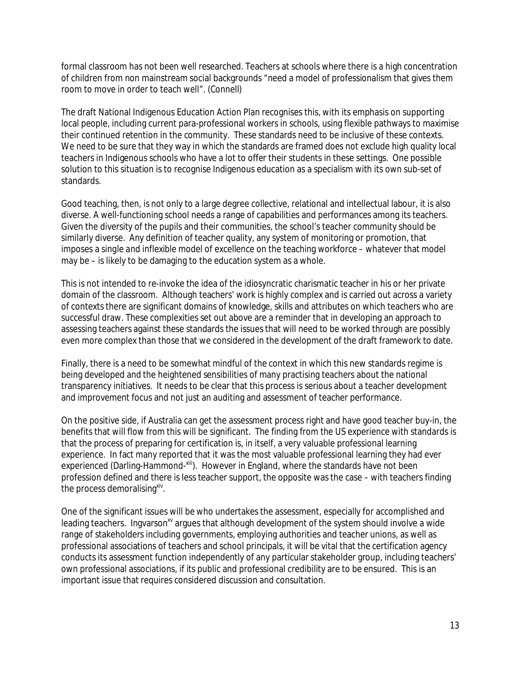formal classroom has not been well researched. Teachers at schools where there is a high concentration of children from non mainstream social backgrounds "need a model of professionalism that gives them room to move in order to teach well". (Connell)

The draft National Indigenous Education Action Plan recognises this, with its emphasis on supporting local people, including current para-professional workers in schools, using flexible pathways to maximise their continued retention in the community. These standards need to be inclusive of these contexts. We need to be sure that they way in which the standards are framed does not exclude high quality local teachers in Indigenous schools who have a lot to offer their students in these settings. One possible solution to this situation is to recognise Indigenous education as a specialism with its own sub-set of standards.

Good teaching, then, is not only to a large degree collective, relational and intellectual labour, it is also diverse. A well-functioning school needs a range of capabilities and performances among its teachers. Given the diversity of the pupils and their communities, the school's teacher community should be similarly diverse. Any definition of teacher quality, any system of monitoring or promotion, that imposes a *single and inflexible* model of excellence on the teaching workforce – whatever that model may be – is likely to be damaging to the education system as a whole.

This is not intended to re-invoke the idea of the idiosyncratic charismatic teacher in his or her private domain of the classroom. Although teachers' work is highly complex and is carried out across a variety of contexts there are significant domains of knowledge, skills and attributes on which teachers who are successful draw. These complexities set out above are a reminder that in developing an approach to assessing teachers against these standards the issues that will need to be worked through are possibly even more complex than those that we considered in the development of the draft framework to date.

Finally, there is a need to be somewhat mindful of the context in which this new standards regime is being developed and the heightened sensibilities of many practising teachers about the national transparency initiatives. It needs to be clear that this process is serious about a teacher development and improvement focus and not just an auditing and assessment of teacher performance.

On the positive side, if Australia can get the assessment process right and have good teacher buy-in, the benefits that will flow from this will be significant. The finding from the US experience with standards is that the process of preparing for certification is, in itself, a very valuable professional learning experience. In fact many reported that it was the most valuable professional learning they had ever experienced (Darling-Hammond-xill). However in England, where the standards have not been profession defined and there is less teacher support, the opposite was the case – with teachers finding the process demoralising <sup>xiv</sup>.

One of the significant issues will be who undertakes the assessment, especially for accomplished and leading teachers. Ingvarson<sup>xv</sup> argues that although development of the system should involve a wide range of stakeholders including governments, employing authorities and teacher unions, as well as professional associations of teachers and school principals, it will be vital that the certification agency conducts its assessment function independently of any particular stakeholder group, including teachers' own professional associations, if its public and professional credibility are to be ensured. This is an important issue that requires considered discussion and consultation.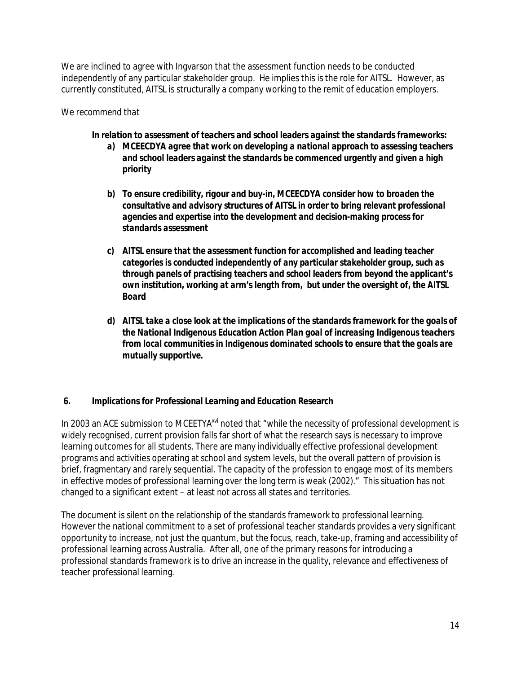We are inclined to agree with Ingvarson that the assessment function needs to be conducted independently of any particular stakeholder group. He implies this is the role for AITSL. However, as currently constituted, AITSL is structurally a company working to the remit of education employers.

# *We recommend that*

- *In relation to assessment of teachers and school leaders against the standards frameworks:*
	- *a) MCEECDYA agree that work on developing a national approach to assessing teachers and school leaders against the standards be commenced urgently and given a high priority*
	- *b) To ensure credibility, rigour and buy-in, MCEECDYA consider how to broaden the consultative and advisory structures of AITSL in order to bring relevant professional agencies and expertise into the development and decision-making process for standards assessment*
	- *c) AITSL ensure that the assessment function for accomplished and leading teacher categories is conducted independently of any particular stakeholder group, such as through panels of practising teachers and school leaders from beyond the applicant's own institution, working at arm's length from, but under the oversight of, the AITSL Board*
	- *d) AITSL take a close look at the implications of the standards framework for the goals of the National Indigenous Education Action Plan goal of increasing Indigenous teachers from local communities in Indigenous dominated schools to ensure that the goals are mutually supportive.*

#### **6. Implications for Professional Learning and Education Research**

In 2003 an ACE submission to MCEETYA<sup>xvi</sup> noted that "while the necessity of professional development is widely recognised, current provision falls far short of what the research says is necessary to improve learning outcomes for all students. There are many individually effective professional development programs and activities operating at school and system levels, but the overall pattern of provision is brief, fragmentary and rarely sequential. The capacity of the profession to engage most of its members in effective modes of professional learning over the long term is weak (2002)." This situation has not changed to a significant extent – at least not across all states and territories.

The document is silent on the relationship of the standards framework to professional learning. However the national commitment to a set of professional teacher standards provides a very significant opportunity to increase, not just the quantum, but the focus, reach, take-up, framing and accessibility of professional learning across Australia. After all, one of the primary reasons for introducing a professional standards framework is to drive an increase in the quality, relevance and effectiveness of teacher professional learning.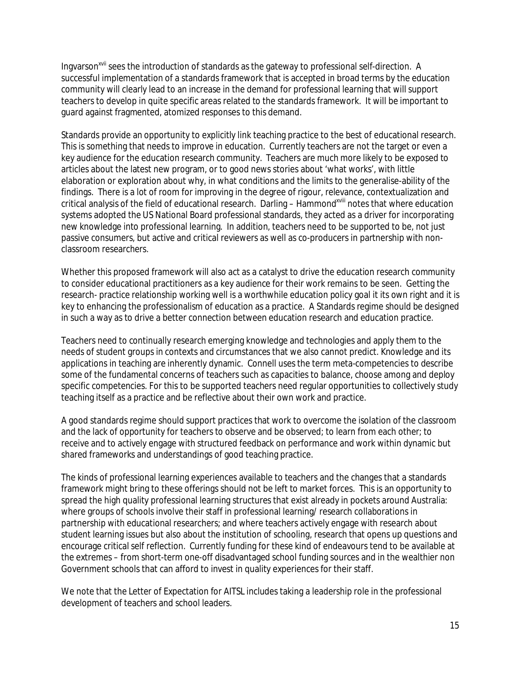Ingvarson<sup>xvii</sup> sees the introduction of standards as the gateway to professional self-direction. A successful implementation of a standards framework that is accepted in broad terms by the education community will clearly lead to an increase in the demand for professional learning that will support teachers to develop in quite specific areas related to the standards framework. It will be important to guard against fragmented, atomized responses to this demand.

Standards provide an opportunity to explicitly link teaching practice to the best of educational research. This is something that needs to improve in education. Currently teachers are not the target or even a key audience for the education research community. Teachers are much more likely to be exposed to articles about the latest new program, or to good news stories about 'what works', with little elaboration or exploration about why, in what conditions and the limits to the generalise-ability of the findings. There is a lot of room for improving in the degree of rigour, relevance, contextualization and critical analysis of the field of educational research. Darling - Hammond<sup>xviii</sup> notes that where education systems adopted the US National Board professional standards, they acted as a driver for incorporating new knowledge into professional learning. In addition, teachers need to be supported to be, not just passive consumers, but active and critical reviewers as well as co-producers in partnership with nonclassroom researchers.

Whether this proposed framework will also act as a catalyst to drive the education research community to consider educational practitioners as a key audience for their work remains to be seen. Getting the research- practice relationship working well is a worthwhile education policy goal it its own right and it is key to enhancing the professionalism of education as a practice. A Standards regime should be designed in such a way as to drive a better connection between education research and education practice.

Teachers need to continually research emerging knowledge and technologies and apply them to the needs of student groups in contexts and circumstances that we also cannot predict. Knowledge and its applications in teaching are inherently dynamic. Connell uses the term meta-competencies to describe some of the fundamental concerns of teachers such as capacities to balance, choose among and deploy specific competencies. For this to be supported teachers need regular opportunities to collectively study teaching itself as a practice and be reflective about their own work and practice.

A good standards regime should support practices that work to overcome the isolation of the classroom and the lack of opportunity for teachers to observe and be observed; to learn from each other; to receive and to actively engage with structured feedback on performance and work within dynamic but shared frameworks and understandings of good teaching practice.

The kinds of professional learning experiences available to teachers and the changes that a standards framework might bring to these offerings should not be left to market forces. This is an opportunity to spread the high quality professional learning structures that exist already in pockets around Australia: where groups of schools involve their staff in professional learning/ research collaborations in partnership with educational researchers; and where teachers actively engage with research about student learning issues but also about the institution of schooling, research that opens up questions and encourage critical self reflection. Currently funding for these kind of endeavours tend to be available at the extremes – from short-term one-off disadvantaged school funding sources and in the wealthier non Government schools that can afford to invest in quality experiences for their staff.

We note that the Letter of Expectation for AITSL includes taking a leadership role in the professional development of teachers and school leaders.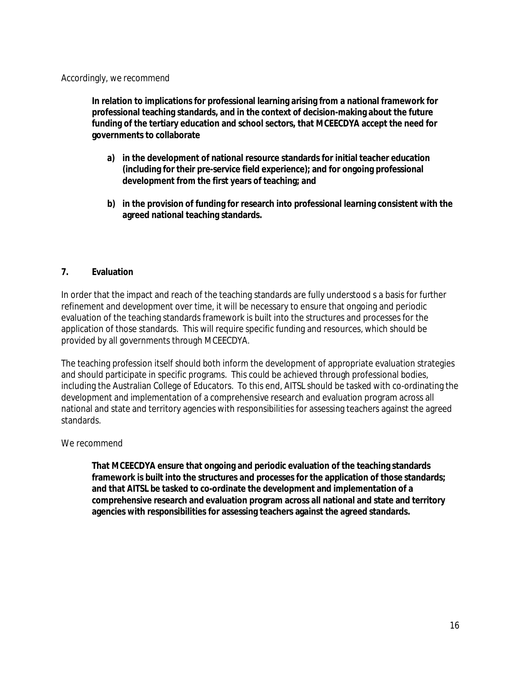#### Accordingly, we recommend

**In relation to implications for professional learning arising from a national framework for professional teaching standards, and in the context of decision-making about the future funding of the tertiary education and school sectors, that MCEECDYA accept the need for governments to collaborate** 

- **a) in the development of national resource standards for initial teacher education (including for their pre-service field experience); and for ongoing professional development from the first years of teaching; and**
- **b) in the provision of funding for research into professional learning consistent with the agreed national teaching standards.**

#### **7. Evaluation**

In order that the impact and reach of the teaching standards are fully understood s a basis for further refinement and development over time, it will be necessary to ensure that ongoing and periodic evaluation of the teaching standards framework is built into the structures and processes for the application of those standards. This will require specific funding and resources, which should be provided by all governments through MCEECDYA.

The teaching profession itself should both inform the development of appropriate evaluation strategies and should participate in specific programs. This could be achieved through professional bodies, including the Australian College of Educators. To this end, AITSL should be tasked with co-ordinating the development and implementation of a comprehensive research and evaluation program across all national and state and territory agencies with responsibilities for assessing teachers against the agreed standards.

#### We recommend

**That MCEECDYA ensure that ongoing and periodic evaluation of the teaching standards framework is built into the structures and processes for the application of those standards; and that AITSL be tasked to co-ordinate the development and implementation of a comprehensive research and evaluation program across all national and state and territory agencies with responsibilities for assessing teachers against the agreed standards.**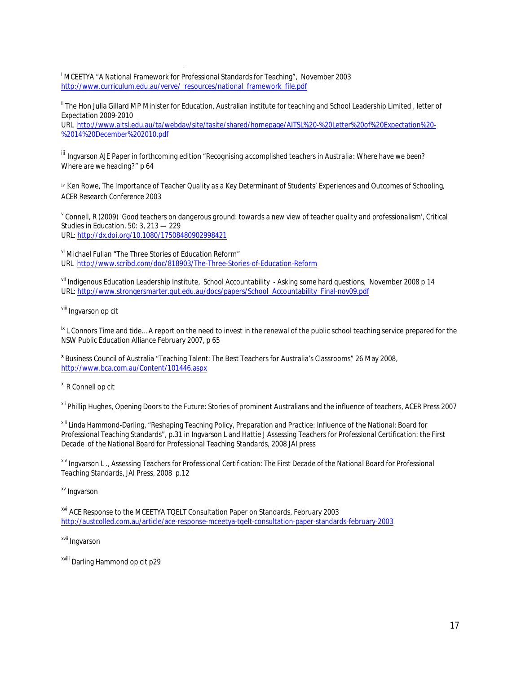$\overline{\phantom{a}}$ i MCEETYA "A National Framework for Professional Standards for Teaching", November 2003 http://www.curriculum.edu.au/verve/\_resources/national\_framework\_file.pdf

<sup>ii</sup> The Hon Julia Gillard MP Minister for Education, Australian institute for teaching and School Leadership Limited, letter of Expectation 2009-2010

URL http://www.aitsl.edu.au/ta/webdav/site/tasite/shared/homepage/AITSL%20-%20Letter%20of%20Expectation%20- %2014%20December%202010.pdf

iii Ingvarson AJE Paper in forthcoming edition *"Recognising accomplished teachers in Australia: Where have we been? Where are we heading?"* p 64

*iv* Ken Rowe, The Importance of Teacher Quality as a Key Determinant of Students' Experiences and Outcomes of Schooling, *ACER Research Conference 2003*

<sup>v</sup> Connell, R (2009) '*Good teachers on dangerous ground: towards a new view of teacher quality and professionalism',* Critical Studies in Education, 50: 3, 213 — 229 URL: http://dx.doi.org/10.1080/17508480902998421

vi Michael Fullan "The Three Stories of Education Reform" URL http://www.scribd.com/doc/818903/The-Three-Stories-of-Education-Reform

vii Indigenous Education Leadership Institute, *School Accountability - Asking some hard questions,* November 2008 p 14 URL: http://www.strongersmarter.qut.edu.au/docs/papers/School\_Accountability\_Final-nov09.pdf

viii Ingvarson op cit

 $\frac{1}{x}$  L Connors Time and tide... A report on the need to invest in the renewal of the public school teaching service prepared for the NSW Public Education Alliance February 2007, p 65

**<sup>x</sup>** Business Council of Australia "Teaching Talent: The Best Teachers for Australia's Classrooms" 26 May 2008, http://www.bca.com.au/Content/101446.aspx

xi R Connell op cit

xii Phillip Hughes, Opening Doors to the Future: Stories of prominent Australians and the influence of teachers, ACER Press 2007

xiii Linda Hammond-Darling, "Reshaping Teaching Policy, Preparation and Practice: Influence of the National; Board for Professional Teaching Standards", p.31 in Ingvarson L and Hattie J *Assessing Teachers for Professional Certification: the First Decade of the National Board for Professional Teaching Standards*, 2008 JAI press

xiv Ingvarson L ., *Assessing Teachers for Professional Certification: The First Decade of the National Board for Professional Teaching Standards*, JAI Press, 2008 p.12

xv Ingvarson

xvi ACE Response to the MCEETYA TQELT Consultation Paper on Standards, February 2003 http://austcolled.com.au/article/ace-response-mceetya-tqelt-consultation-paper-standards-february-2003

xvii Ingvarson

xviii Darling Hammond op cit p29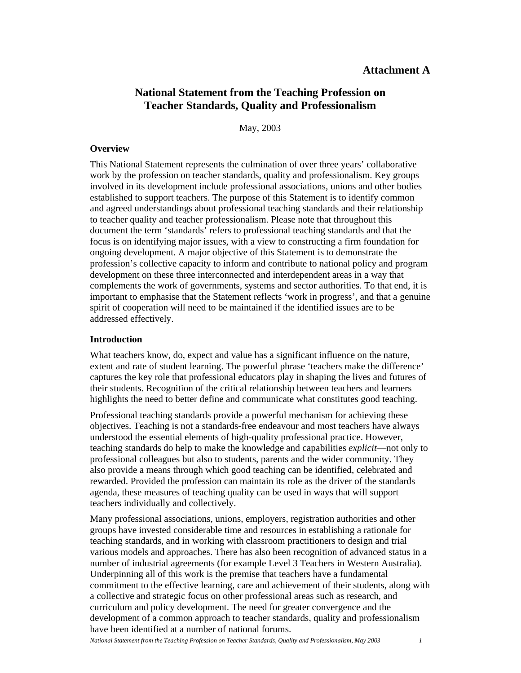# **Attachment A**

# **National Statement from the Teaching Profession on Teacher Standards, Quality and Professionalism**

May, 2003

#### **Overview**

This National Statement represents the culmination of over three years' collaborative work by the profession on teacher standards, quality and professionalism. Key groups involved in its development include professional associations, unions and other bodies established to support teachers. The purpose of this Statement is to identify common and agreed understandings about professional teaching standards and their relationship to teacher quality and teacher professionalism. Please note that throughout this document the term 'standards' refers to professional teaching standards and that the focus is on identifying major issues, with a view to constructing a firm foundation for ongoing development. A major objective of this Statement is to demonstrate the profession's collective capacity to inform and contribute to national policy and program development on these three interconnected and interdependent areas in a way that complements the work of governments, systems and sector authorities. To that end, it is important to emphasise that the Statement reflects 'work in progress', and that a genuine spirit of cooperation will need to be maintained if the identified issues are to be addressed effectively.

#### **Introduction**

What teachers know, do, expect and value has a significant influence on the nature, extent and rate of student learning. The powerful phrase 'teachers make the difference' captures the key role that professional educators play in shaping the lives and futures of their students. Recognition of the critical relationship between teachers and learners highlights the need to better define and communicate what constitutes good teaching.

Professional teaching standards provide a powerful mechanism for achieving these objectives. Teaching is not a standards-free endeavour and most teachers have always understood the essential elements of high-quality professional practice. However, teaching standards do help to make the knowledge and capabilities *explicit*—not only to professional colleagues but also to students, parents and the wider community. They also provide a means through which good teaching can be identified, celebrated and rewarded. Provided the profession can maintain its role as the driver of the standards agenda, these measures of teaching quality can be used in ways that will support teachers individually and collectively.

Many professional associations, unions, employers, registration authorities and other groups have invested considerable time and resources in establishing a rationale for teaching standards, and in working with classroom practitioners to design and trial various models and approaches. There has also been recognition of advanced status in a number of industrial agreements (for example Level 3 Teachers in Western Australia). Underpinning all of this work is the premise that teachers have a fundamental commitment to the effective learning, care and achievement of their students, along with a collective and strategic focus on other professional areas such as research, and curriculum and policy development. The need for greater convergence and the development of a common approach to teacher standards, quality and professionalism have been identified at a number of national forums.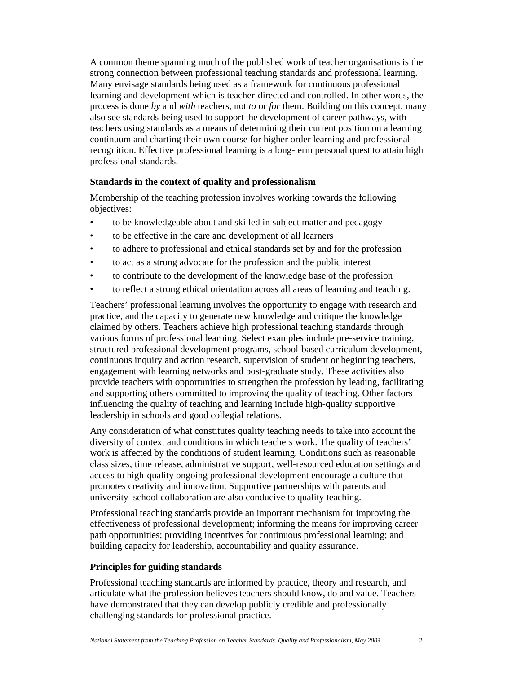A common theme spanning much of the published work of teacher organisations is the strong connection between professional teaching standards and professional learning. Many envisage standards being used as a framework for continuous professional learning and development which is teacher-directed and controlled. In other words, the process is done *by* and *with* teachers, not *to* or *for* them. Building on this concept, many also see standards being used to support the development of career pathways, with teachers using standards as a means of determining their current position on a learning continuum and charting their own course for higher order learning and professional recognition. Effective professional learning is a long-term personal quest to attain high professional standards.

# **Standards in the context of quality and professionalism**

Membership of the teaching profession involves working towards the following objectives:

- to be knowledgeable about and skilled in subject matter and pedagogy
- to be effective in the care and development of all learners
- to adhere to professional and ethical standards set by and for the profession
- to act as a strong advocate for the profession and the public interest
- to contribute to the development of the knowledge base of the profession
- to reflect a strong ethical orientation across all areas of learning and teaching.

Teachers' professional learning involves the opportunity to engage with research and practice, and the capacity to generate new knowledge and critique the knowledge claimed by others. Teachers achieve high professional teaching standards through various forms of professional learning. Select examples include pre-service training, structured professional development programs, school-based curriculum development, continuous inquiry and action research, supervision of student or beginning teachers, engagement with learning networks and post-graduate study. These activities also provide teachers with opportunities to strengthen the profession by leading, facilitating and supporting others committed to improving the quality of teaching. Other factors influencing the quality of teaching and learning include high-quality supportive leadership in schools and good collegial relations.

Any consideration of what constitutes quality teaching needs to take into account the diversity of context and conditions in which teachers work. The quality of teachers' work is affected by the conditions of student learning. Conditions such as reasonable class sizes, time release, administrative support, well-resourced education settings and access to high-quality ongoing professional development encourage a culture that promotes creativity and innovation. Supportive partnerships with parents and university–school collaboration are also conducive to quality teaching.

Professional teaching standards provide an important mechanism for improving the effectiveness of professional development; informing the means for improving career path opportunities; providing incentives for continuous professional learning; and building capacity for leadership, accountability and quality assurance.

#### **Principles for guiding standards**

Professional teaching standards are informed by practice, theory and research, and articulate what the profession believes teachers should know, do and value. Teachers have demonstrated that they can develop publicly credible and professionally challenging standards for professional practice.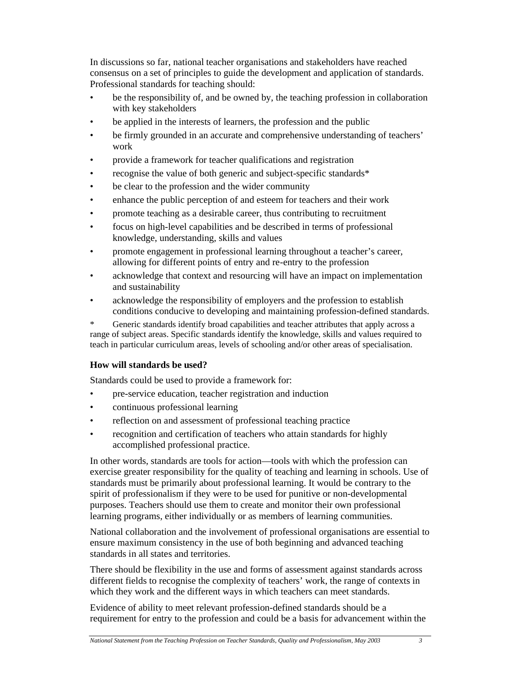In discussions so far, national teacher organisations and stakeholders have reached consensus on a set of principles to guide the development and application of standards. Professional standards for teaching should:

- be the responsibility of, and be owned by, the teaching profession in collaboration with key stakeholders
- be applied in the interests of learners, the profession and the public
- be firmly grounded in an accurate and comprehensive understanding of teachers' work
- provide a framework for teacher qualifications and registration
- recognise the value of both generic and subject-specific standards\*
- be clear to the profession and the wider community
- enhance the public perception of and esteem for teachers and their work
- promote teaching as a desirable career, thus contributing to recruitment
- focus on high-level capabilities and be described in terms of professional knowledge, understanding, skills and values
- promote engagement in professional learning throughout a teacher's career, allowing for different points of entry and re-entry to the profession
- acknowledge that context and resourcing will have an impact on implementation and sustainability
- acknowledge the responsibility of employers and the profession to establish conditions conducive to developing and maintaining profession-defined standards.

\* Generic standards identify broad capabilities and teacher attributes that apply across a range of subject areas. Specific standards identify the knowledge, skills and values required to teach in particular curriculum areas, levels of schooling and/or other areas of specialisation.

# **How will standards be used?**

Standards could be used to provide a framework for:

- pre-service education, teacher registration and induction
- continuous professional learning
- reflection on and assessment of professional teaching practice
- recognition and certification of teachers who attain standards for highly accomplished professional practice.

In other words, standards are tools for action—tools with which the profession can exercise greater responsibility for the quality of teaching and learning in schools. Use of standards must be primarily about professional learning. It would be contrary to the spirit of professionalism if they were to be used for punitive or non-developmental purposes. Teachers should use them to create and monitor their own professional learning programs, either individually or as members of learning communities.

National collaboration and the involvement of professional organisations are essential to ensure maximum consistency in the use of both beginning and advanced teaching standards in all states and territories.

There should be flexibility in the use and forms of assessment against standards across different fields to recognise the complexity of teachers' work, the range of contexts in which they work and the different ways in which teachers can meet standards.

Evidence of ability to meet relevant profession-defined standards should be a requirement for entry to the profession and could be a basis for advancement within the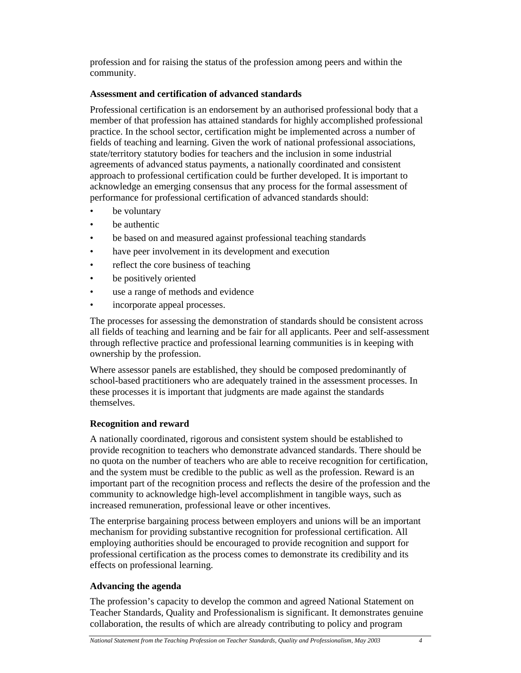profession and for raising the status of the profession among peers and within the community.

# **Assessment and certification of advanced standards**

Professional certification is an endorsement by an authorised professional body that a member of that profession has attained standards for highly accomplished professional practice. In the school sector, certification might be implemented across a number of fields of teaching and learning. Given the work of national professional associations, state/territory statutory bodies for teachers and the inclusion in some industrial agreements of advanced status payments, a nationally coordinated and consistent approach to professional certification could be further developed. It is important to acknowledge an emerging consensus that any process for the formal assessment of performance for professional certification of advanced standards should:

- be voluntary
- be authentic
- be based on and measured against professional teaching standards
- have peer involvement in its development and execution
- reflect the core business of teaching
- be positively oriented
- use a range of methods and evidence
- incorporate appeal processes.

The processes for assessing the demonstration of standards should be consistent across all fields of teaching and learning and be fair for all applicants. Peer and self-assessment through reflective practice and professional learning communities is in keeping with ownership by the profession.

Where assessor panels are established, they should be composed predominantly of school-based practitioners who are adequately trained in the assessment processes. In these processes it is important that judgments are made against the standards themselves.

# **Recognition and reward**

A nationally coordinated, rigorous and consistent system should be established to provide recognition to teachers who demonstrate advanced standards. There should be no quota on the number of teachers who are able to receive recognition for certification, and the system must be credible to the public as well as the profession. Reward is an important part of the recognition process and reflects the desire of the profession and the community to acknowledge high-level accomplishment in tangible ways, such as increased remuneration, professional leave or other incentives.

The enterprise bargaining process between employers and unions will be an important mechanism for providing substantive recognition for professional certification. All employing authorities should be encouraged to provide recognition and support for professional certification as the process comes to demonstrate its credibility and its effects on professional learning.

# **Advancing the agenda**

The profession's capacity to develop the common and agreed National Statement on Teacher Standards, Quality and Professionalism is significant. It demonstrates genuine collaboration, the results of which are already contributing to policy and program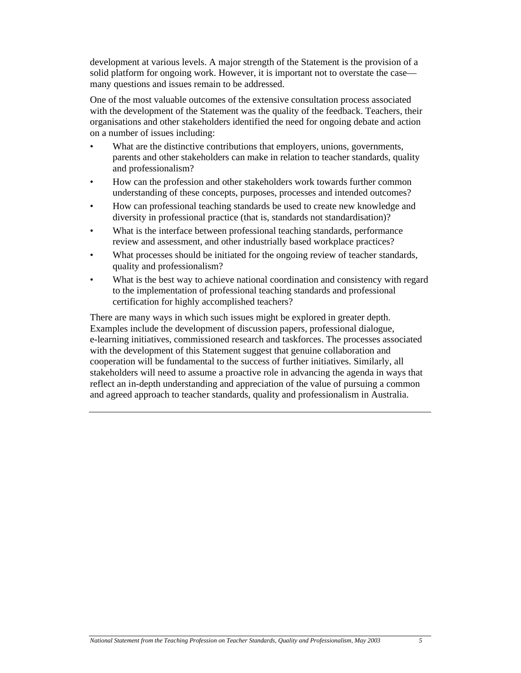development at various levels. A major strength of the Statement is the provision of a solid platform for ongoing work. However, it is important not to overstate the case many questions and issues remain to be addressed.

One of the most valuable outcomes of the extensive consultation process associated with the development of the Statement was the quality of the feedback. Teachers, their organisations and other stakeholders identified the need for ongoing debate and action on a number of issues including:

- What are the distinctive contributions that employers, unions, governments, parents and other stakeholders can make in relation to teacher standards, quality and professionalism?
- How can the profession and other stakeholders work towards further common understanding of these concepts, purposes, processes and intended outcomes?
- How can professional teaching standards be used to create new knowledge and diversity in professional practice (that is, standards not standardisation)?
- What is the interface between professional teaching standards, performance review and assessment, and other industrially based workplace practices?
- What processes should be initiated for the ongoing review of teacher standards, quality and professionalism?
- What is the best way to achieve national coordination and consistency with regard to the implementation of professional teaching standards and professional certification for highly accomplished teachers?

There are many ways in which such issues might be explored in greater depth. Examples include the development of discussion papers, professional dialogue, e-learning initiatives, commissioned research and taskforces. The processes associated with the development of this Statement suggest that genuine collaboration and cooperation will be fundamental to the success of further initiatives. Similarly, all stakeholders will need to assume a proactive role in advancing the agenda in ways that reflect an in-depth understanding and appreciation of the value of pursuing a common and agreed approach to teacher standards, quality and professionalism in Australia.